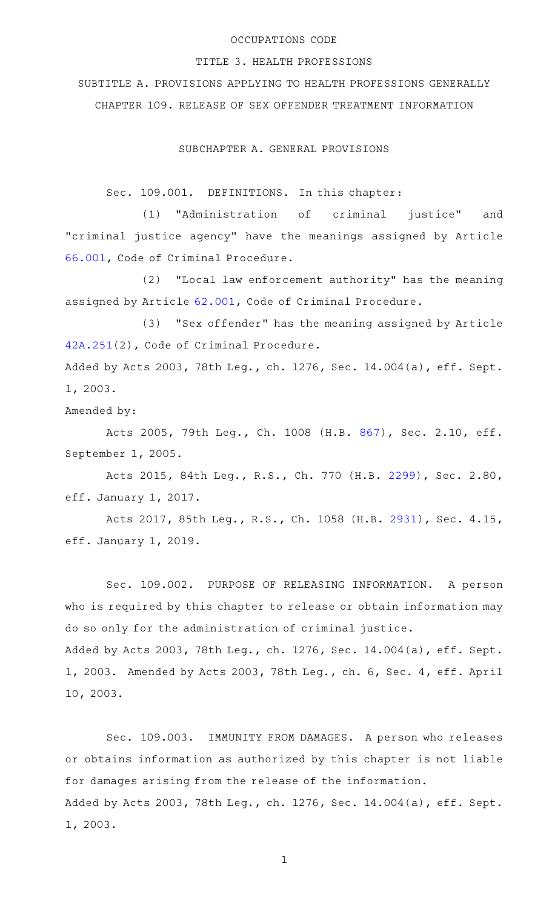## OCCUPATIONS CODE

## TITLE 3. HEALTH PROFESSIONS

SUBTITLE A. PROVISIONS APPLYING TO HEALTH PROFESSIONS GENERALLY CHAPTER 109. RELEASE OF SEX OFFENDER TREATMENT INFORMATION

SUBCHAPTER A. GENERAL PROVISIONS

Sec. 109.001. DEFINITIONS. In this chapter:

(1) "Administration of criminal justice" and "criminal justice agency" have the meanings assigned by Article [66.001](http://www.statutes.legis.state.tx.us/GetStatute.aspx?Code=CR&Value=66.001), Code of Criminal Procedure.

(2) "Local law enforcement authority" has the meaning assigned by Article [62.001,](http://www.statutes.legis.state.tx.us/GetStatute.aspx?Code=CR&Value=62.001) Code of Criminal Procedure.

(3) "Sex offender" has the meaning assigned by Article [42A.251\(](http://www.statutes.legis.state.tx.us/GetStatute.aspx?Code=CR&Value=42A.251)2), Code of Criminal Procedure.

Added by Acts 2003, 78th Leg., ch. 1276, Sec. 14.004(a), eff. Sept. 1, 2003.

Amended by:

Acts 2005, 79th Leg., Ch. 1008 (H.B. [867](http://www.legis.state.tx.us/tlodocs/79R/billtext/html/HB00867F.HTM)), Sec. 2.10, eff. September 1, 2005.

Acts 2015, 84th Leg., R.S., Ch. 770 (H.B. [2299\)](http://www.legis.state.tx.us/tlodocs/84R/billtext/html/HB02299F.HTM), Sec. 2.80, eff. January 1, 2017.

Acts 2017, 85th Leg., R.S., Ch. 1058 (H.B. [2931](http://www.legis.state.tx.us/tlodocs/85R/billtext/html/HB02931F.HTM)), Sec. 4.15, eff. January 1, 2019.

Sec. 109.002. PURPOSE OF RELEASING INFORMATION. A person who is required by this chapter to release or obtain information may do so only for the administration of criminal justice.

Added by Acts 2003, 78th Leg., ch. 1276, Sec. 14.004(a), eff. Sept. 1, 2003. Amended by Acts 2003, 78th Leg., ch. 6, Sec. 4, eff. April 10, 2003.

Sec. 109.003. IMMUNITY FROM DAMAGES. A person who releases or obtains information as authorized by this chapter is not liable for damages arising from the release of the information. Added by Acts 2003, 78th Leg., ch. 1276, Sec. 14.004(a), eff. Sept. 1, 2003.

1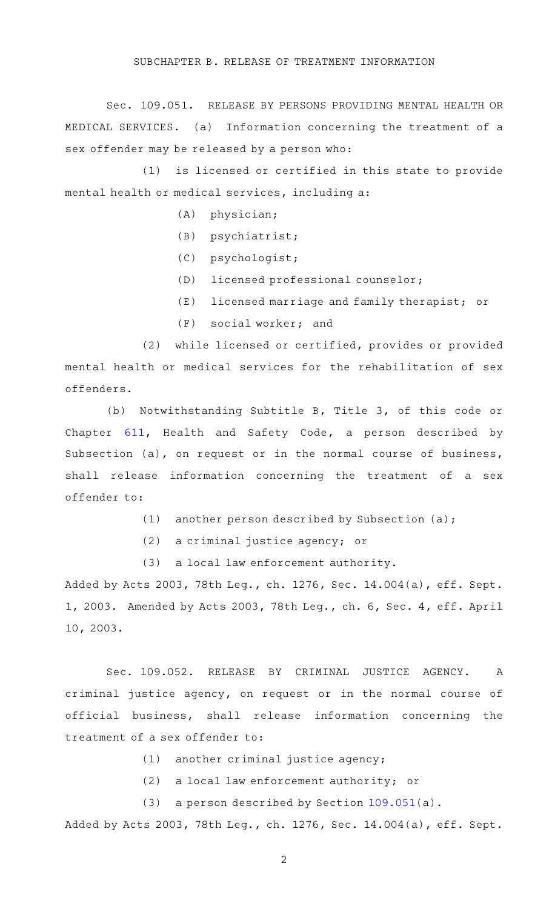## SUBCHAPTER B. RELEASE OF TREATMENT INFORMATION

Sec. 109.051. RELEASE BY PERSONS PROVIDING MENTAL HEALTH OR MEDICAL SERVICES. (a) Information concerning the treatment of a sex offender may be released by a person who:

(1) is licensed or certified in this state to provide mental health or medical services, including a:

- $(A)$  physician;
- $(B)$  psychiatrist;
- (C) psychologist;
- (D) licensed professional counselor;
- $(E)$  licensed marriage and family therapist; or
- $(F)$  social worker; and

(2) while licensed or certified, provides or provided mental health or medical services for the rehabilitation of sex offenders.

(b) Notwithstanding Subtitle B, Title 3, of this code or Chapter [611](http://www.statutes.legis.state.tx.us/GetStatute.aspx?Code=HS&Value=611), Health and Safety Code, a person described by Subsection (a), on request or in the normal course of business, shall release information concerning the treatment of a sex offender to:

- (1) another person described by Subsection (a);
- (2) a criminal justice agency; or
- (3) a local law enforcement authority.

Added by Acts 2003, 78th Leg., ch. 1276, Sec. 14.004(a), eff. Sept. 1, 2003. Amended by Acts 2003, 78th Leg., ch. 6, Sec. 4, eff. April 10, 2003.

Sec. 109.052. RELEASE BY CRIMINAL JUSTICE AGENCY. A criminal justice agency, on request or in the normal course of official business, shall release information concerning the treatment of a sex offender to:

- $(1)$  another criminal justice agency;
- (2) a local law enforcement authority; or
- (3) a person described by Section  $109.051(a)$  $109.051(a)$ .

Added by Acts 2003, 78th Leg., ch. 1276, Sec. 14.004(a), eff. Sept.

2